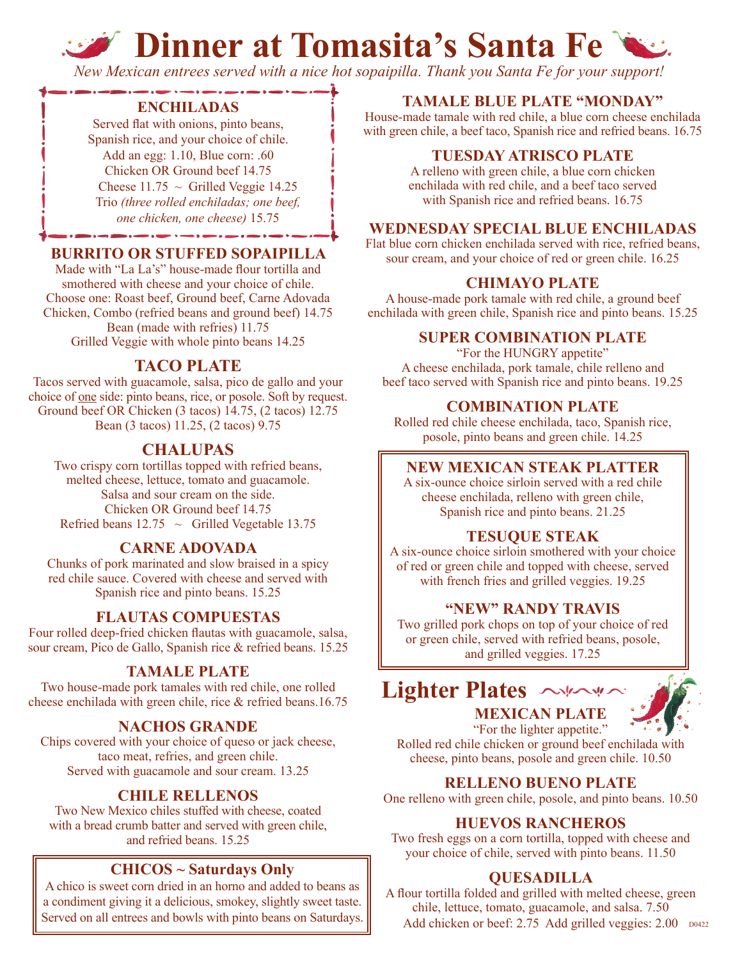# **Dinner at Tomasita's Santa Fe**

*New Mexican entrees served with a nice hot sopaipilla. Thank you Santa Fe for your support!*

#### **ENCHILADAS**

Served flat with onions, pinto beans, Spanish rice, and your choice of chile. Add an egg: 1.10, Blue corn: .60 Chicken OR Ground beef 14.75 Cheese  $11.75 \sim$  Grilled Veggie 14.25 Trio *(three rolled enchiladas; one beef, one chicken, one cheese)* 15.75

#### **BURRITO OR STUFFED SOPAIPILLA**

Made with "La La's" house-made flour tortilla and smothered with cheese and your choice of chile. Choose one: Roast beef, Ground beef, Carne Adovada Chicken, Combo (refried beans and ground beef) 14.75 Bean (made with refries) 11.75 Grilled Veggie with whole pinto beans 14.25

#### **TACO PLATE**

Tacos served with guacamole, salsa, pico de gallo and your choice of one side: pinto beans, rice, or posole. Soft by request. Ground beef OR Chicken (3 tacos) 14.75, (2 tacos) 12.75 Bean (3 tacos) 11.25, (2 tacos) 9.75

#### **CHALUPAS**

Two crispy corn tortillas topped with refried beans, melted cheese, lettuce, tomato and guacamole. Salsa and sour cream on the side. Chicken OR Ground beef 14.75 Refried beans  $12.75 \sim$  Grilled Vegetable 13.75

#### **CARNE ADOVADA**

Chunks of pork marinated and slow braised in a spicy red chile sauce. Covered with cheese and served with Spanish rice and pinto beans. 15.25

#### **FLAUTAS COMPUESTAS**

Four rolled deep-fried chicken flautas with guacamole, salsa, sour cream, Pico de Gallo, Spanish rice & refried beans. 15.25

#### **TAMALE PLATE**

Two house-made pork tamales with red chile, one rolled cheese enchilada with green chile, rice & refried beans.16.75

#### **NACHOS GRANDE**

Chips covered with your choice of queso or jack cheese, taco meat, refries, and green chile. Served with guacamole and sour cream. 13.25

#### **CHILE RELLENOS**

Two New Mexico chiles stuffed with cheese, coated with a bread crumb batter and served with green chile, and refried beans. 15.25

#### **CHICOS ~ Saturdays Only**

A chico is sweet corn dried in an horno and added to beans as a condiment giving it a delicious, smokey, slightly sweet taste.

#### **TAMALE BLUE PLATE "MONDAY"**

House-made tamale with red chile, a blue corn cheese enchilada with green chile, a beef taco, Spanish rice and refried beans. 16.75

#### **TUESDAY ATRISCO PLATE**

A relleno with green chile, a blue corn chicken enchilada with red chile, and a beef taco served with Spanish rice and refried beans. 16.75

#### **WEDNESDAY SPECIAL BLUE ENCHILADAS**

Flat blue corn chicken enchilada served with rice, refried beans, sour cream, and your choice of red or green chile.  $16.25$ 

#### **CHIMAYO PLATE**

A house-made pork tamale with red chile, a ground beef enchilada with green chile, Spanish rice and pinto beans. 15.25

#### **SUPER COMBINATION PLATE**

"For the HUNGRY appetite" A cheese enchilada, pork tamale, chile relleno and beef taco served with Spanish rice and pinto beans. 19.25

#### **COMBINATION PLATE**

Rolled red chile cheese enchilada, taco, Spanish rice, posole, pinto beans and green chile. 14.25

#### **NEW MEXICAN STEAK PLATTER**

A six-ounce choice sirloin served with a red chile cheese enchilada, relleno with green chile, Spanish rice and pinto beans. 21.25

#### **TESUQUE STEAK**

A six-ounce choice sirloin smothered with your choice of red or green chile and topped with cheese, served with french fries and grilled veggies. 19.25

#### **"NEW" RANDY TRAVIS**

Two grilled pork chops on top of your choice of red or green chile, served with refried beans, posole, and grilled veggies. 17.25





"For the lighter appetite." Rolled red chile chicken or ground beef enchilada with cheese, pinto beans, posole and green chile. 10.50

#### **RELLENO BUENO PLATE**

One relleno with green chile, posole, and pinto beans. 10.50

#### **HUEVOS RANCHEROS**

Two fresh eggs on a corn tortilla, topped with cheese and your choice of chile, served with pinto beans. 11.50

#### **QUESADILLA**

A flour tortilla folded and grilled with melted cheese, green chile, lettuce, tomato, guacamole, and salsa. 7.50 Served on all entrees and bowls with pinto beans on Saturdays. Add chicken or beef: 2.75 Add grilled veggies: 2.00 D0422